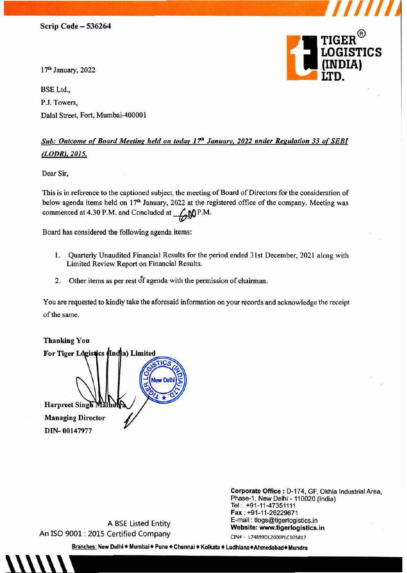17<sup>th</sup> January, 2022

BSE Ltd., P.J. Towers, Dalal Street, Fort, Mumbai-400001



*Ill/* 

## *Sub: Outcome of Board Meeting held on today 1 '7'1' January, 2022 under Regulation 33 of SEBI (LODR). 2015.*

Dear Sir,

This is in reference to the captioned subject, the meeting of Board of Directors for the consideration of below agenda items held on 17<sup>th</sup> January, 2022 at the registered office of the company. Meeting was commenced at 4.30 P.M. and Concluded at  $\bigcirc$  MP.M.

Board has considered the following agenda items:

- I. Quarterly Unaudited Financial Results for the period ended 31st December, 2021 along with Limited Review Report on Financial Results.
- 2. Other items as per rest of agenda with the permission of chairman.

You are requested to kindly take the aforesaid information on your records and acknowledge the receipt of the same.

Thanking You For Tiger Logistics (India) Limited Harpreet Singh Managing Director DIN- 00147977

Phase-1, New Delhi - 110020 (India) Tel.:. +91-11-47351111 Fax: +91-11-26229671 E-mail : tlogs@tigerlogistics.in Website: www.tigerlogistics.in

Corporate Office: D-174, GF, Okhla Industrial Area,

A BSE Listed Entity An ISO 9001 : 2015 Certified Company

CIN# - L74899DL2000PLC105817

Branches: New Delhi ◆ Mumbai ◆ Pune ◆ Chennai ◆ Kolkata ◆ Ludhiana◆Ahmedabad◆ Mundra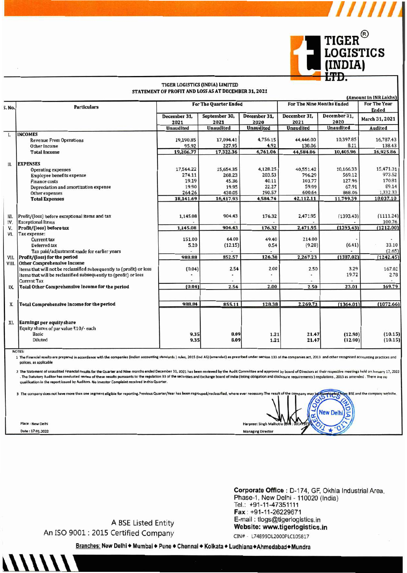

 $\frac{1}{1}$ 

#### **TIGER LOGISTICS (INDIA) LIMITED** STATEMENT OF PROFIT AND LOSS AS AT DECEMBER 31, 2021

|                                                                    |                                                                                                                                                                                                                                                                                                                                                                                                                                                                                                                                                                                                                            |                                                                    |                                                                                |                                                                               |                                                                                                | (Amount in INR Lakhs)                                                                                                                                                         |
|--------------------------------------------------------------------|----------------------------------------------------------------------------------------------------------------------------------------------------------------------------------------------------------------------------------------------------------------------------------------------------------------------------------------------------------------------------------------------------------------------------------------------------------------------------------------------------------------------------------------------------------------------------------------------------------------------------|--------------------------------------------------------------------|--------------------------------------------------------------------------------|-------------------------------------------------------------------------------|------------------------------------------------------------------------------------------------|-------------------------------------------------------------------------------------------------------------------------------------------------------------------------------|
| <b>Particulars</b>                                                 | <b>For The Quarter Ended</b>                                                                                                                                                                                                                                                                                                                                                                                                                                                                                                                                                                                               |                                                                    |                                                                                |                                                                               | <b>For The Year</b><br><b>Ended</b>                                                            |                                                                                                                                                                               |
|                                                                    | December 31,<br>2021                                                                                                                                                                                                                                                                                                                                                                                                                                                                                                                                                                                                       | September 30,<br>2021                                              | December 31.<br>2020                                                           | December 31.<br>2021                                                          | December 31,<br>2020                                                                           | March 31, 2021                                                                                                                                                                |
|                                                                    | <b>Unaudited</b>                                                                                                                                                                                                                                                                                                                                                                                                                                                                                                                                                                                                           | <b>Unaudited</b>                                                   | <b>Unaudited</b>                                                               | <b>Unaudited</b>                                                              | <b>Unaudited</b>                                                                               | Audited                                                                                                                                                                       |
| <b>INCOMES</b>                                                     |                                                                                                                                                                                                                                                                                                                                                                                                                                                                                                                                                                                                                            |                                                                    |                                                                                |                                                                               |                                                                                                |                                                                                                                                                                               |
| <b>Revenue From Operations</b>                                     | 19,190.85                                                                                                                                                                                                                                                                                                                                                                                                                                                                                                                                                                                                                  | 17,094.41                                                          |                                                                                | 44.446.00                                                                     |                                                                                                | 16,787.43                                                                                                                                                                     |
| Other Income                                                       | 95.92                                                                                                                                                                                                                                                                                                                                                                                                                                                                                                                                                                                                                      | 227.95                                                             | 4.92                                                                           | 138.06                                                                        | 8.11                                                                                           | 138.43                                                                                                                                                                        |
| <b>Total Income</b>                                                | 19,286.77                                                                                                                                                                                                                                                                                                                                                                                                                                                                                                                                                                                                                  | 17,322.36                                                          | 4.761.06                                                                       | 44,584.06                                                                     | 10,405.96                                                                                      | 16,925.86                                                                                                                                                                     |
|                                                                    |                                                                                                                                                                                                                                                                                                                                                                                                                                                                                                                                                                                                                            |                                                                    |                                                                                |                                                                               |                                                                                                |                                                                                                                                                                               |
|                                                                    | 17,564.22                                                                                                                                                                                                                                                                                                                                                                                                                                                                                                                                                                                                                  | 15,654.35                                                          | 4,128.25                                                                       | 40,551.42                                                                     | 10,166.33                                                                                      | 15,471.31                                                                                                                                                                     |
|                                                                    | 274.11                                                                                                                                                                                                                                                                                                                                                                                                                                                                                                                                                                                                                     | 268.23                                                             | 203.53                                                                         | 796.29                                                                        | 569.12                                                                                         | 973.52                                                                                                                                                                        |
| <b>Finance costs</b>                                               | 19.19                                                                                                                                                                                                                                                                                                                                                                                                                                                                                                                                                                                                                      | 45.36                                                              | 40.11                                                                          | 103.77                                                                        | 127.96                                                                                         | 170.81                                                                                                                                                                        |
|                                                                    | 19.90                                                                                                                                                                                                                                                                                                                                                                                                                                                                                                                                                                                                                      | 19.95                                                              | 22.27                                                                          | 59.99                                                                         | 67.91                                                                                          | 89.14                                                                                                                                                                         |
|                                                                    | 264.26                                                                                                                                                                                                                                                                                                                                                                                                                                                                                                                                                                                                                     | 430.05                                                             | 190.57                                                                         | 600.64                                                                        | 868.06                                                                                         | 1,332.33                                                                                                                                                                      |
| <b>Total Expenses</b>                                              | 18,141.69                                                                                                                                                                                                                                                                                                                                                                                                                                                                                                                                                                                                                  | 16,417.93                                                          | 4,584.74                                                                       | 42,112.11                                                                     | 11,799.39                                                                                      | 18,037.10                                                                                                                                                                     |
| Profit/(loss) before exceptional items and tax                     | 1,145.08                                                                                                                                                                                                                                                                                                                                                                                                                                                                                                                                                                                                                   | 904.43                                                             | 176.32                                                                         | 2,471.95                                                                      |                                                                                                | (1111.24)                                                                                                                                                                     |
|                                                                    |                                                                                                                                                                                                                                                                                                                                                                                                                                                                                                                                                                                                                            |                                                                    |                                                                                |                                                                               |                                                                                                | 100.76                                                                                                                                                                        |
| Profit/(loss) before tax                                           |                                                                                                                                                                                                                                                                                                                                                                                                                                                                                                                                                                                                                            |                                                                    |                                                                                |                                                                               |                                                                                                | (1212.00)                                                                                                                                                                     |
|                                                                    |                                                                                                                                                                                                                                                                                                                                                                                                                                                                                                                                                                                                                            |                                                                    |                                                                                |                                                                               |                                                                                                |                                                                                                                                                                               |
| <b>Current tax</b>                                                 |                                                                                                                                                                                                                                                                                                                                                                                                                                                                                                                                                                                                                            |                                                                    |                                                                                |                                                                               |                                                                                                |                                                                                                                                                                               |
|                                                                    |                                                                                                                                                                                                                                                                                                                                                                                                                                                                                                                                                                                                                            |                                                                    |                                                                                |                                                                               |                                                                                                | 33.10                                                                                                                                                                         |
|                                                                    |                                                                                                                                                                                                                                                                                                                                                                                                                                                                                                                                                                                                                            |                                                                    |                                                                                |                                                                               |                                                                                                | (2.65)                                                                                                                                                                        |
|                                                                    |                                                                                                                                                                                                                                                                                                                                                                                                                                                                                                                                                                                                                            |                                                                    |                                                                                |                                                                               |                                                                                                | (1242.45)                                                                                                                                                                     |
|                                                                    |                                                                                                                                                                                                                                                                                                                                                                                                                                                                                                                                                                                                                            |                                                                    |                                                                                |                                                                               |                                                                                                |                                                                                                                                                                               |
|                                                                    |                                                                                                                                                                                                                                                                                                                                                                                                                                                                                                                                                                                                                            |                                                                    |                                                                                |                                                                               |                                                                                                | 167.02                                                                                                                                                                        |
|                                                                    |                                                                                                                                                                                                                                                                                                                                                                                                                                                                                                                                                                                                                            |                                                                    |                                                                                |                                                                               |                                                                                                | 2.78                                                                                                                                                                          |
|                                                                    |                                                                                                                                                                                                                                                                                                                                                                                                                                                                                                                                                                                                                            |                                                                    |                                                                                |                                                                               |                                                                                                |                                                                                                                                                                               |
|                                                                    |                                                                                                                                                                                                                                                                                                                                                                                                                                                                                                                                                                                                                            |                                                                    |                                                                                |                                                                               |                                                                                                | 169.79                                                                                                                                                                        |
|                                                                    |                                                                                                                                                                                                                                                                                                                                                                                                                                                                                                                                                                                                                            |                                                                    |                                                                                |                                                                               |                                                                                                |                                                                                                                                                                               |
|                                                                    |                                                                                                                                                                                                                                                                                                                                                                                                                                                                                                                                                                                                                            |                                                                    |                                                                                |                                                                               |                                                                                                | (1072.66)                                                                                                                                                                     |
| Earnings per equity share<br>Equity shares of par value ₹10/- each |                                                                                                                                                                                                                                                                                                                                                                                                                                                                                                                                                                                                                            |                                                                    |                                                                                |                                                                               |                                                                                                |                                                                                                                                                                               |
| <b>Diluted</b>                                                     |                                                                                                                                                                                                                                                                                                                                                                                                                                                                                                                                                                                                                            |                                                                    |                                                                                |                                                                               |                                                                                                | (10.15)<br>(10.15)                                                                                                                                                            |
|                                                                    | <b>EXPENSES</b><br><b>Operating expenses</b><br><b>Employee benefits expense</b><br>Depreciation and amortization expense<br>Other expenses<br><b>Exceptional Items</b><br>Tax expense:<br>Deferred tax<br>Tax paid/adjustment made for earlier years<br>Profit/(loss) for the period<br><b>Other Comprehensive Income</b><br>Items that will not be reclassified subsequently to (profit) or loss<br>Items that will be reclassified subsequently to (profit) or loss<br><b>Current Tax</b><br><b>Total Other Comprehensive Income for the period</b><br><b>Total Comprehensive Income for the period</b><br><b>Basic</b> | 1,145.08<br>151.00<br>5.20<br>988.88<br>(0.04)<br>(0.04)<br>988.84 | 904.43<br>64.00<br>(12.15)<br>852.57<br>2.54<br>2.54<br>855.11<br>9.35<br>9.35 | 4,756.15<br>176.32<br>49.40<br>0.54<br>126.38<br>2.00<br>2.00<br>8.09<br>8.09 | 2,471.95<br>214.00<br>(9.28)<br>2,267.23<br>2.50<br>2.50<br>128.38<br>2,269.73<br>1.21<br>1.21 | <b>For The Nine Months Ended</b><br>10.397.85<br>(1393.43)<br>(1393.43)<br>(6.41)<br>(1387.02)<br>3.29<br>19.72<br>23.01<br>(1364.01)<br>(12.90)<br>21.47<br>21.47<br>(12.90) |

NOTES:

nies (indian accounting standards) rules, 2015 (Ind AS) (amended) as presribed under section 133 of the companies act, 2013 and other recognised accounting practices and 1 The Financial results are prepared in a with the o polices, as applicable

2 The Statement of unaudited Financial results for the Quarter and Nine months ended December 31, 2021 has been reviewed by the Audit Committee and approved by board of Directors at their respective meetings held on Januar . The Statutory Auditor has conducted review of these results pursuants to the regulation 33 of the securities and Exchange board of india (listing obligation and disclosure requirements) regulations , 2015 as amended . Th qualification in the report issued by Auditors. No Investor Complaint received in this Quarter.

|                   | 3 The company does not have more than one segment eligible for reporting.Previous Quarter/Year has been regrouped/reclassified, where ever necessary.The result of the company may be downloaded from BSE and the company webs |
|-------------------|--------------------------------------------------------------------------------------------------------------------------------------------------------------------------------------------------------------------------------|
| Place : New Delhi | Harpreet Singh Malhotra (Bin : 001479                                                                                                                                                                                          |
| Date: 17.01.2022  | <b>Managing Director</b>                                                                                                                                                                                                       |

Corporate Office : D-174, GF, Okhla Industrial Area, Phase-1, New Delhi - 110020 (India) Tel.: +91-11-47351111 Fax: +91-11-26229671 E-mail: tlogs@tigerlogistics.in Website: www.tigerlogistics.in

A BSE Listed Entity An ISO 9001 : 2015 Certified Company

CIN# - L74899DL2000PLC105817

Branches: New Delhi + Mumbai + Pune + Chennai + Kolkata + Ludhiana + Ahmedabad + Mundra